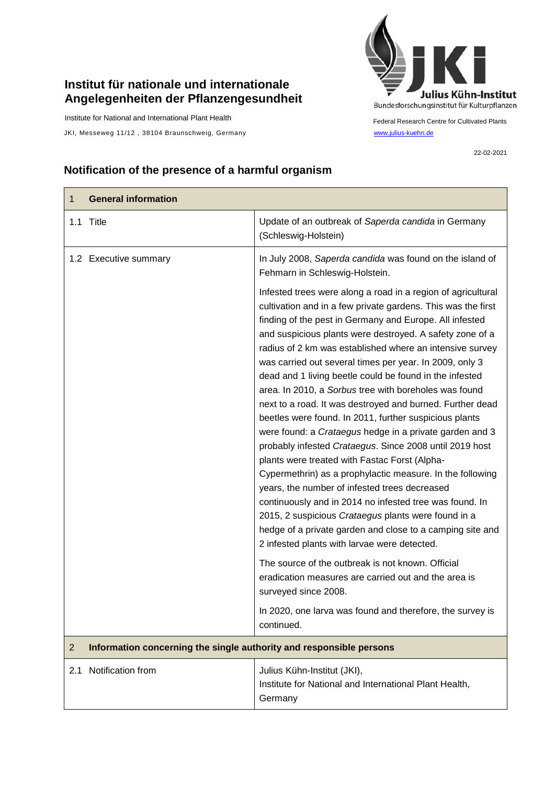## **Institut für nationale und internationale Angelegenheiten der Pflanzengesundheit**

Institute for National and International Plant Health

JKI, Messeweg 11/12, 38104 Braunschweig, Germany [www.julius-kuehn.de](http://www.julius-kuehn.de/)



Federal Research Centre for Cultivated Plants

22-02-2021

## **Notification of the presence of a harmful organism**

| <b>General information</b><br>1                                                       |                                                                                                                                                                                                                                                                                                                                                                                                                                                                                                                                                                                                                                                                                                                                                                                                                                                                                                                                                                                                                                                                                                                                           |  |
|---------------------------------------------------------------------------------------|-------------------------------------------------------------------------------------------------------------------------------------------------------------------------------------------------------------------------------------------------------------------------------------------------------------------------------------------------------------------------------------------------------------------------------------------------------------------------------------------------------------------------------------------------------------------------------------------------------------------------------------------------------------------------------------------------------------------------------------------------------------------------------------------------------------------------------------------------------------------------------------------------------------------------------------------------------------------------------------------------------------------------------------------------------------------------------------------------------------------------------------------|--|
| 1.1 Title                                                                             | Update of an outbreak of Saperda candida in Germany<br>(Schleswig-Holstein)                                                                                                                                                                                                                                                                                                                                                                                                                                                                                                                                                                                                                                                                                                                                                                                                                                                                                                                                                                                                                                                               |  |
| 1.2 Executive summary                                                                 | In July 2008, Saperda candida was found on the island of<br>Fehmarn in Schleswig-Holstein.                                                                                                                                                                                                                                                                                                                                                                                                                                                                                                                                                                                                                                                                                                                                                                                                                                                                                                                                                                                                                                                |  |
|                                                                                       | Infested trees were along a road in a region of agricultural<br>cultivation and in a few private gardens. This was the first<br>finding of the pest in Germany and Europe. All infested<br>and suspicious plants were destroyed. A safety zone of a<br>radius of 2 km was established where an intensive survey<br>was carried out several times per year. In 2009, only 3<br>dead and 1 living beetle could be found in the infested<br>area. In 2010, a Sorbus tree with boreholes was found<br>next to a road. It was destroyed and burned. Further dead<br>beetles were found. In 2011, further suspicious plants<br>were found: a Crataegus hedge in a private garden and 3<br>probably infested Crataegus. Since 2008 until 2019 host<br>plants were treated with Fastac Forst (Alpha-<br>Cypermethrin) as a prophylactic measure. In the following<br>years, the number of infested trees decreased<br>continuously and in 2014 no infested tree was found. In<br>2015, 2 suspicious Crataegus plants were found in a<br>hedge of a private garden and close to a camping site and<br>2 infested plants with larvae were detected. |  |
|                                                                                       | The source of the outbreak is not known. Official<br>eradication measures are carried out and the area is<br>surveyed since 2008.                                                                                                                                                                                                                                                                                                                                                                                                                                                                                                                                                                                                                                                                                                                                                                                                                                                                                                                                                                                                         |  |
|                                                                                       | In 2020, one larva was found and therefore, the survey is<br>continued.                                                                                                                                                                                                                                                                                                                                                                                                                                                                                                                                                                                                                                                                                                                                                                                                                                                                                                                                                                                                                                                                   |  |
| Information concerning the single authority and responsible persons<br>$\overline{2}$ |                                                                                                                                                                                                                                                                                                                                                                                                                                                                                                                                                                                                                                                                                                                                                                                                                                                                                                                                                                                                                                                                                                                                           |  |
| Notification from<br>2.1                                                              | Julius Kühn-Institut (JKI),<br>Institute for National and International Plant Health,<br>Germany                                                                                                                                                                                                                                                                                                                                                                                                                                                                                                                                                                                                                                                                                                                                                                                                                                                                                                                                                                                                                                          |  |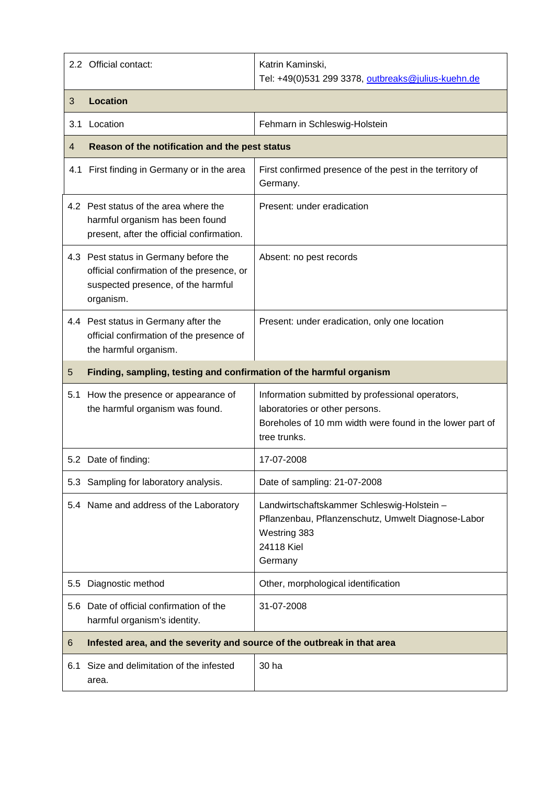|     | 2.2 Official contact:                                                                                                                 | Katrin Kaminski,<br>Tel: +49(0)531 299 3378, outbreaks@julius-kuehn.de                                                                                         |  |
|-----|---------------------------------------------------------------------------------------------------------------------------------------|----------------------------------------------------------------------------------------------------------------------------------------------------------------|--|
| 3   | <b>Location</b>                                                                                                                       |                                                                                                                                                                |  |
| 3.1 | Location                                                                                                                              | Fehmarn in Schleswig-Holstein                                                                                                                                  |  |
| 4   | Reason of the notification and the pest status                                                                                        |                                                                                                                                                                |  |
|     | 4.1 First finding in Germany or in the area                                                                                           | First confirmed presence of the pest in the territory of<br>Germany.                                                                                           |  |
|     | 4.2 Pest status of the area where the<br>harmful organism has been found<br>present, after the official confirmation.                 | Present: under eradication                                                                                                                                     |  |
|     | 4.3 Pest status in Germany before the<br>official confirmation of the presence, or<br>suspected presence, of the harmful<br>organism. | Absent: no pest records                                                                                                                                        |  |
|     | 4.4 Pest status in Germany after the<br>official confirmation of the presence of<br>the harmful organism.                             | Present: under eradication, only one location                                                                                                                  |  |
| 5   | Finding, sampling, testing and confirmation of the harmful organism                                                                   |                                                                                                                                                                |  |
|     | 5.1 How the presence or appearance of<br>the harmful organism was found.                                                              | Information submitted by professional operators,<br>laboratories or other persons.<br>Boreholes of 10 mm width were found in the lower part of<br>tree trunks. |  |
|     | 5.2 Date of finding:                                                                                                                  | 17-07-2008                                                                                                                                                     |  |
|     | 5.3 Sampling for laboratory analysis.                                                                                                 | Date of sampling: 21-07-2008                                                                                                                                   |  |
|     | 5.4 Name and address of the Laboratory                                                                                                | Landwirtschaftskammer Schleswig-Holstein -<br>Pflanzenbau, Pflanzenschutz, Umwelt Diagnose-Labor<br>Westring 383<br>24118 Kiel<br>Germany                      |  |
| 5.5 | Diagnostic method                                                                                                                     | Other, morphological identification                                                                                                                            |  |
|     | 5.6 Date of official confirmation of the<br>harmful organism's identity.                                                              | 31-07-2008                                                                                                                                                     |  |
| 6   | Infested area, and the severity and source of the outbreak in that area                                                               |                                                                                                                                                                |  |
| 6.1 | Size and delimitation of the infested<br>area.                                                                                        | 30 ha                                                                                                                                                          |  |